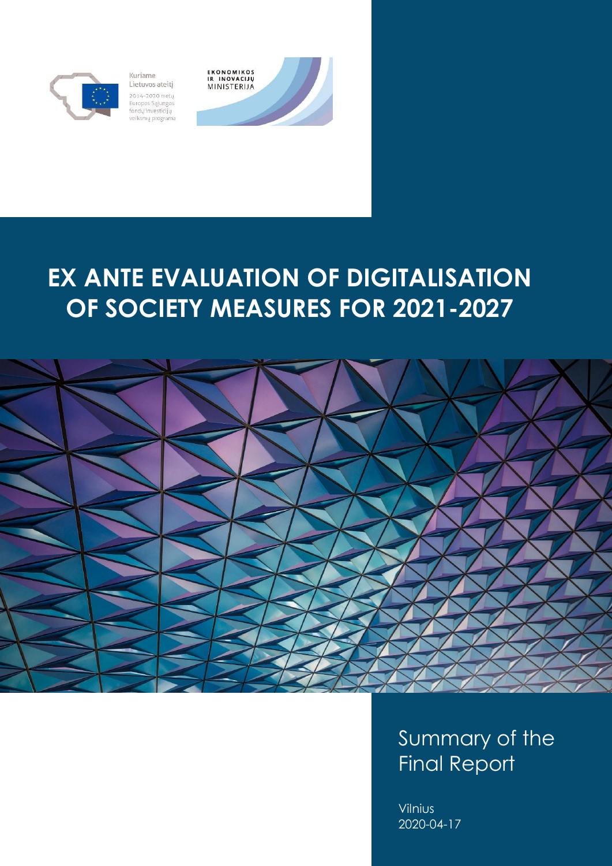

Kuriame Lietuvos ateitį 2014-2020 metų Europos Sąjungos fondų investicijų<br>veiksmų programa



# **EX ANTE EVALUATION OF DIGITALISATION OF SOCIETY MEASURES FOR 2021-2027**



Summary of the Final Report

Vilnius 2020-04-17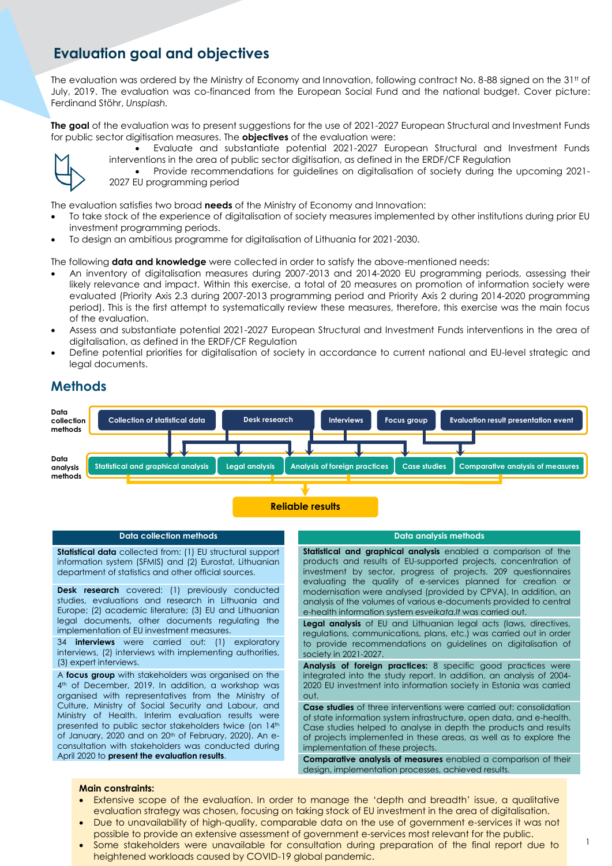## **Evaluation goal and objectives**

The evaluation was ordered by the Ministry of Economy and Innovation, following contract No. 8-88 signed on the  $31<sup>tt</sup>$  of July, 2019. The evaluation was co-financed from the European Social Fund and the national budget. Cover picture: Ferdinand Stöhr, *Unsplash.*

**The goal** of the evaluation was to present suggestions for the use of 2021-2027 European Structural and Investment Funds for public sector digitisation measures. The **objectives** of the evaluation were:



- Evaluate and substantiate potential 2021-2027 European Structural and Investment Funds interventions in the area of public sector digitisation, as defined in the ERDF/CF Regulation
- Provide recommendations for guidelines on digitalisation of society during the upcoming 2021- 2027 EU programming period

The evaluation satisfies two broad **needs** of the Ministry of Economy and Innovation:

- To take stock of the experience of digitalisation of society measures implemented by other institutions during prior EU investment programming periods.
- To design an ambitious programme for digitalisation of Lithuania for 2021-2030.

The following **data and knowledge** were collected in order to satisfy the above-mentioned needs:

- An inventory of digitalisation measures during 2007-2013 and 2014-2020 EU programming periods, assessing their likely relevance and impact. Within this exercise, a total of 20 measures on promotion of information society were evaluated (Priority Axis 2.3 during 2007-2013 programming period and Priority Axis 2 during 2014-2020 programming period). This is the first attempt to systematically review these measures, therefore, this exercise was the main focus of the evaluation.
- Assess and substantiate potential 2021-2027 European Structural and Investment Funds interventions in the area of digitalisation, as defined in the ERDF/CF Regulation
- Define potential priorities for digitalisation of society in accordance to current national and EU-level strategic and legal documents.

### **Methods**



### **Data collection methods**

**Statistical data** collected from: (1) EU structural support information system (SFMIS) and (2) Eurostat, Lithuanian department of statistics and other official sources.

**Desk research** covered: (1) previously conducted studies, evaluations and research in Lithuania and Europe; (2) academic literature; (3) EU and Lithuanian legal documents, other documents regulating the implementation of EU investment measures.

34 **interviews** were carried out: (1) exploratory interviews, (2) interviews with implementing authorities, (3) expert interviews.

A **focus group** with stakeholders was organised on the 4<sup>th</sup> of December, 2019. In addition, a workshop was organised with representatives from the Ministry of Culture, Ministry of Social Security and Labour, and Ministry of Health. Interim evaluation results were presented to public sector stakeholders twice (on 14th of January, 2020 and on 20<sup>th</sup> of February, 2020). An econsultation with stakeholders was conducted during April 2020 to **present the evaluation results**.

#### **Data analysis methods**

**Statistical and graphical analysis** enabled a comparison of the products and results of EU-supported projects, concentration of investment by sector, progress of projects. 209 questionnaires evaluating the quality of e-services planned for creation or modernisation were analysed (provided by CPVA). In addition, an analysis of the volumes of various e-documents provided to central e-health information system *esveikata.lt* was carried out.

**Legal analysis** of EU and Lithuanian legal acts (laws, directives, regulations, communications, plans, etc.) was carried out in order to provide recommendations on guidelines on digitalisation of society in 2021-2027.

**Analysis of foreign practices:** 8 specific good practices were integrated into the study report. In addition, an analysis of 2004- 2020 EU investment into information society in Estonia was carried out.

**Case studies** of three interventions were carried out: consolidation of state information system infrastructure, open data, and e-health. Case studies helped to analyse in depth the products and results of projects implemented in these areas, as well as to explore the implementation of these projects.

**Comparative analysis of measures** enabled a comparison of their design, implementation processes, achieved results.

#### **Main constraints:**

- Extensive scope of the evaluation. In order to manage the 'depth and breadth' issue, a qualitative evaluation strategy was chosen, focusing on taking stock of EU investment in the area of digitalisation.
- Due to unavailability of high-quality, comparable data on the use of government e-services it was not possible to provide an extensive assessment of government e-services most relevant for the public.
- Some stakeholders were unavailable for consultation during preparation of the final report due to heightened workloads caused by COVID-19 global pandemic.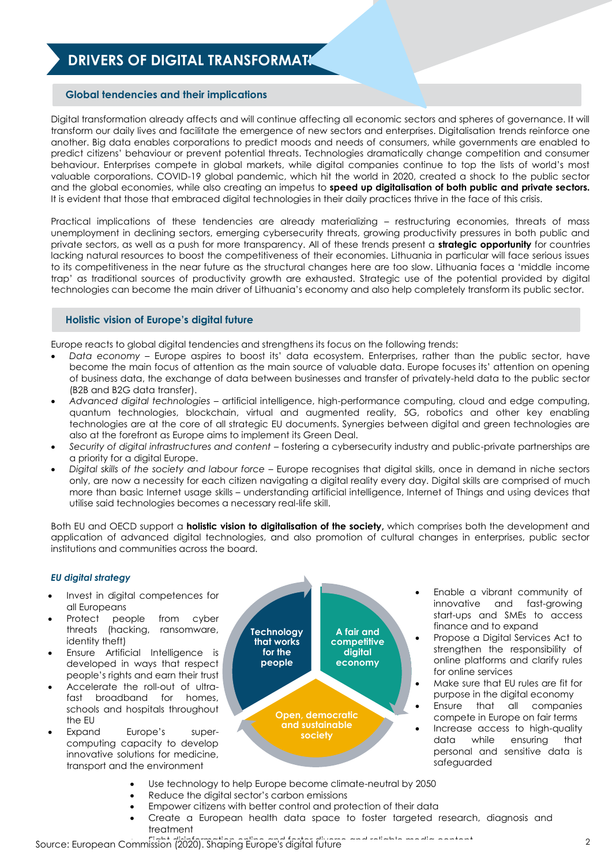# **DRIVERS OF DIGITAL TRANSFORMATI**

### **Global tendencies and their implications**

Digital transformation already affects and will continue affecting all economic sectors and spheres of governance. It will transform our daily lives and facilitate the emergence of new sectors and enterprises. Digitalisation trends reinforce one another. Big data enables corporations to predict moods and needs of consumers, while governments are enabled to predict citizens' behaviour or prevent potential threats. Technologies dramatically change competition and consumer behaviour. Enterprises compete in global markets, while digital companies continue to top the lists of world's most valuable corporations. COVID-19 global pandemic, which hit the world in 2020, created a shock to the public sector and the global economies, while also creating an impetus to **speed up digitalisation of both public and private sectors***.* It is evident that those that embraced digital technologies in their daily practices thrive in the face of this crisis.

Practical implications of these tendencies are already materializing – restructuring economies, threats of mass unemployment in declining sectors, emerging cybersecurity threats, growing productivity pressures in both public and private sectors, as well as a push for more transparency. All of these trends present a **strategic opportunity** for countries lacking natural resources to boost the competitiveness of their economies. Lithuania in particular will face serious issues to its competitiveness in the near future as the structural changes here are too slow. Lithuania faces a 'middle income trap' as traditional sources of productivity growth are exhausted. Strategic use of the potential provided by digital technologies can become the main driver of Lithuania's economy and also help completely transform its public sector.

### **Holistic vision of Europe's digital future**

Europe reacts to global digital tendencies and strengthens its focus on the following trends:

- *Data economy –* Europe aspires to boost its' data ecosystem. Enterprises, rather than the public sector, have become the main focus of attention as the main source of valuable data. Europe focuses its' attention on opening of business data, the exchange of data between businesses and transfer of privately-held data to the public sector (B2B and B2G data transfer).
- *Advanced digital technologies –* artificial intelligence, high-performance computing, cloud and edge computing, quantum technologies, blockchain, virtual and augmented reality, 5G, robotics and other key enabling technologies are at the core of all strategic EU documents. Synergies between digital and green technologies are also at the forefront as Europe aims to implement its Green Deal.
- *Security of digital infrastructures and content*  fostering a cybersecurity industry and public-private partnerships are a priority for a digital Europe.
- *Digital skills of the society and labour force*  Europe recognises that digital skills, once in demand in niche sectors only, are now a necessity for each citizen navigating a digital reality every day. Digital skills are comprised of much more than basic Internet usage skills – understanding artificial intelligence, Internet of Things and using devices that utilise said technologies becomes a necessary real-life skill.

Both EU and OECD support a **holistic vision to digitalisation of the society,** which comprises both the development and application of advanced digital technologies, and also promotion of cultural changes in enterprises, public sector institutions and communities across the board.

### *EU digital strategy*

- Invest in digital competences for all Europeans
- Protect people from cyber threats (hacking, ransomware, identity theft)
- Ensure Artificial Intelligence is developed in ways that respect people's rights and earn their trust
- Accelerate the roll-out of ultrafast broadband for homes, schools and hospitals throughout the EU
- Expand Europe's supercomputing capacity to develop innovative solutions for medicine, transport and the environment



- Enable a vibrant community of innovative and fast-growing start-ups and SMEs to access finance and to expand
- Propose a Digital Services Act to strengthen the responsibility of online platforms and clarify rules for online services
- Make sure that EU rules are fit for purpose in the digital economy
- Ensure that all companies compete in Europe on fair terms
- Increase access to high-quality<br>data while ensuring that data while ensuring that personal and sensitive data is safeguarded
- Use technology to help Europe become climate-neutral by 2050
- Reduce the digital sector's carbon emissions
- Empower citizens with better control and protection of their data
	- Create a European health data space to foster targeted research, diagnosis and treatment

 $F_{\text{min}}$   $(2020)$  Shoping Europe's digital future Source: European Commission (2020). Shaping Europe's digital future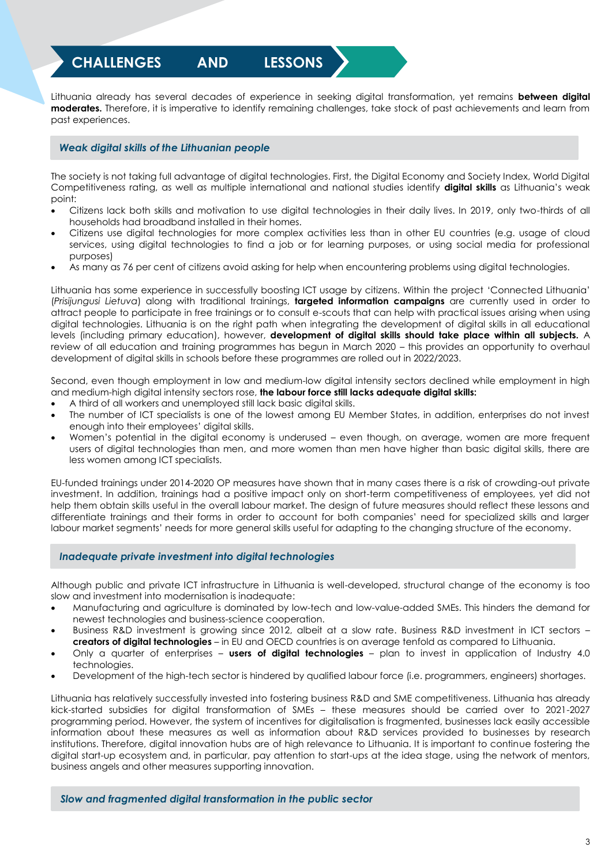**CHALLENGES AND LESSONS** 

Lithuania already has several decades of experience in seeking digital transformation, yet remains **between digital moderates.** Therefore, it is imperative to identify remaining challenges, take stock of past achievements and learn from past experiences.

### *Weak digital skills of the Lithuanian people*

**LEARNED**

The society is not taking full advantage of digital technologies. First, the Digital Economy and Society Index, World Digital Competitiveness rating, as well as multiple international and national studies identify **digital skills** as Lithuania's weak point:

- Citizens lack both skills and motivation to use digital technologies in their daily lives. In 2019, only two-thirds of all households had broadband installed in their homes.
- Citizens use digital technologies for more complex activities less than in other EU countries (e.g. usage of cloud services, using digital technologies to find a job or for learning purposes, or using social media for professional purposes)
- As many as 76 per cent of citizens avoid asking for help when encountering problems using digital technologies.

Lithuania has some experience in successfully boosting ICT usage by citizens. Within the project 'Connected Lithuania' (*Prisijungusi Lietuva*) along with traditional trainings, **targeted information campaigns** are currently used in order to attract people to participate in free trainings or to consult e-scouts that can help with practical issues arising when using digital technologies. Lithuania is on the right path when integrating the development of digital skills in all educational levels (including primary education), however, **development of digital skills should take place within all subjects.** A review of all education and training programmes has begun in March 2020 – this provides an opportunity to overhaul development of digital skills in schools before these programmes are rolled out in 2022/2023.

Second, even though employment in low and medium-low digital intensity sectors declined while employment in high and medium-high digital intensity sectors rose, **the labour force still lacks adequate digital skills:**

- A third of all workers and unemployed still lack basic digital skills.
- The number of ICT specialists is one of the lowest among EU Member States, in addition, enterprises do not invest enough into their employees' digital skills.
- Women's potential in the digital economy is underused even though, on average, women are more frequent users of digital technologies than men, and more women than men have higher than basic digital skills, there are less women among ICT specialists.

EU-funded trainings under 2014-2020 OP measures have shown that in many cases there is a risk of crowding-out private investment. In addition, trainings had a positive impact only on short-term competitiveness of employees, yet did not help them obtain skills useful in the overall labour market. The design of future measures should reflect these lessons and differentiate trainings and their forms in order to account for both companies' need for specialized skills and larger labour market segments' needs for more general skills useful for adapting to the changing structure of the economy.

### *Inadequate private investment into digital technologies*

Although public and private ICT infrastructure in Lithuania is well-developed, structural change of the economy is too slow and investment into modernisation is inadequate:

- Manufacturing and agriculture is dominated by low-tech and low-value-added SMEs. This hinders the demand for newest technologies and business-science cooperation.
- Business R&D investment is growing since 2012, albeit at a slow rate. Business R&D investment in ICT sectors **creators of digital technologies** – in EU and OECD countries is on average tenfold as compared to Lithuania.
- Only a quarter of enterprises **users of digital technologies**  plan to invest in application of Industry 4.0 technologies.
- Development of the high-tech sector is hindered by qualified labour force (i.e. programmers, engineers) shortages.

Lithuania has relatively successfully invested into fostering business R&D and SME competitiveness. Lithuania has already kick-started subsidies for digital transformation of SMEs – these measures should be carried over to 2021-2027 programming period. However, the system of incentives for digitalisation is fragmented, businesses lack easily accessible information about these measures as well as information about R&D services provided to businesses by research institutions. Therefore, digital innovation hubs are of high relevance to Lithuania. It is important to continue fostering the digital start-up ecosystem and, in particular, pay attention to start-ups at the idea stage, using the network of mentors, business angels and other measures supporting innovation.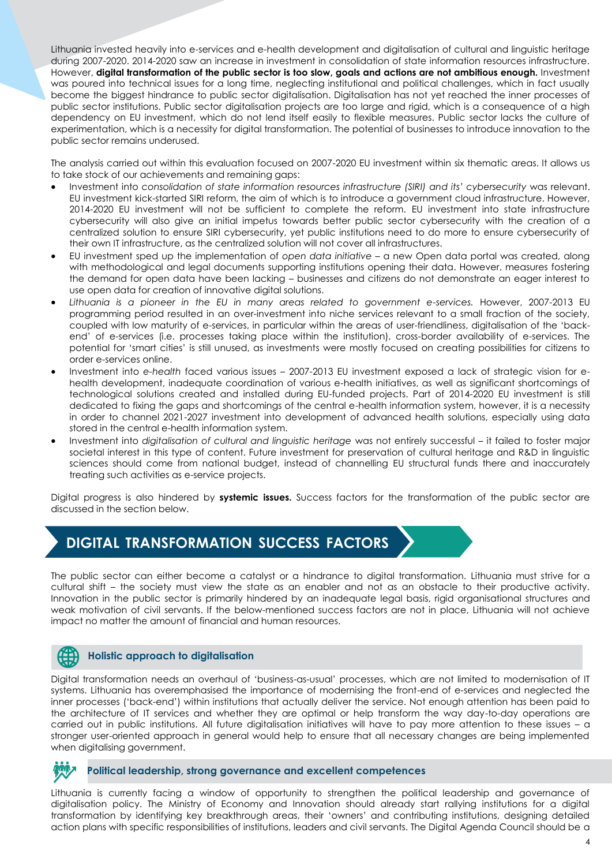Lithuania invested heavily into e-services and e-health development and digitalisation of cultural and linguistic heritage during 2007-2020. 2014-2020 saw an increase in investment in consolidation of state information resources infrastructure. However, **digital transformation of the public sector is too slow, goals and actions are not ambitious enough.** Investment was poured into technical issues for a long time, neglecting institutional and political challenges, which in fact usually become the biggest hindrance to public sector digitalisation. Digitalisation has not yet reached the inner processes of public sector institutions. Public sector digitalisation projects are too large and rigid, which is a consequence of a high dependency on EU investment, which do not lend itself easily to flexible measures. Public sector lacks the culture of experimentation, which is a necessity for digital transformation. The potential of businesses to introduce innovation to the public sector remains underused.

The analysis carried out within this evaluation focused on 2007-2020 EU investment within six thematic areas. It allows us to take stock of our achievements and remaining gaps:

- Investment into *consolidation of state information resources infrastructure (SIRI) and its' cybersecurity* was relevant. EU investment kick-started SIRI reform, the aim of which is to introduce a government cloud infrastructure. However, 2014-2020 EU investment will not be sufficient to complete the reform. EU investment into state infrastructure cybersecurity will also give an initial impetus towards better public sector cybersecurity with the creation of a centralized solution to ensure SIRI cybersecurity, yet public institutions need to do more to ensure cybersecurity of their own IT infrastructure, as the centralized solution will not cover all infrastructures.
- EU investment sped up the implementation of *open data initiative* a new Open data portal was created, along with methodological and legal documents supporting institutions opening their data. However, measures fostering the demand for open data have been lacking – businesses and citizens do not demonstrate an eager interest to use open data for creation of innovative digital solutions.
- Lithuania is a pioneer in the EU in many areas related to government e-services. However, 2007-2013 EU programming period resulted in an over-investment into niche services relevant to a small fraction of the society, coupled with low maturity of e-services, in particular within the areas of user-friendliness, digitalisation of the 'backend' of e-services (i.e. processes taking place within the institution), cross-border availability of e-services. The potential for 'smart cities' is still unused, as investments were mostly focused on creating possibilities for citizens to order e-services online.
- Investment into *e-health* faced various issues 2007-2013 EU investment exposed a lack of strategic vision for ehealth development, inadequate coordination of various e-health initiatives, as well as significant shortcomings of technological solutions created and installed during EU-funded projects. Part of 2014-2020 EU investment is still dedicated to fixing the gaps and shortcomings of the central e-health information system, however, it is a necessity in order to channel 2021-2027 investment into development of advanced health solutions, especially using data stored in the central e-health information system.
- Investment into *digitalisation of cultural and linguistic heritage* was not entirely successful it failed to foster major societal interest in this type of content. Future investment for preservation of cultural heritage and R&D in linguistic sciences should come from national budget, instead of channelling EU structural funds there and inaccurately treating such activities as e-service projects.

Digital progress is also hindered by **systemic issues.** Success factors for the transformation of the public sector are discussed in the section below.

# **DIGITAL TRANSFORMATION SUCCESS FACTORS**

The public sector can either become a catalyst or a hindrance to digital transformation. Lithuania must strive for a cultural shift – the society must view the state as an enabler and not as an obstacle to their productive activity. Innovation in the public sector is primarily hindered by an inadequate legal basis, rigid organisational structures and weak motivation of civil servants. If the below-mentioned success factors are not in place, Lithuania will not achieve impact no matter the amount of financial and human resources.

### **Holistic approach to digitalisation**

Digital transformation needs an overhaul of 'business-as-usual' processes, which are not limited to modernisation of IT systems. Lithuania has overemphasised the importance of modernising the front-end of e-services and neglected the inner processes ('back-end') within institutions that actually deliver the service. Not enough attention has been paid to the architecture of IT services and whether they are optimal or help transform the way day-to-day operations are carried out in public institutions. All future digitalisation initiatives will have to pay more attention to these issues – a stronger user-oriented approach in general would help to ensure that all necessary changes are being implemented when digitalising government.

### **Political leadership, strong governance and excellent competences**

Lithuania is currently facing a window of opportunity to strengthen the political leadership and governance of digitalisation policy. The Ministry of Economy and Innovation should already start rallying institutions for a digital transformation by identifying key breakthrough areas, their 'owners' and contributing institutions, designing detailed action plans with specific responsibilities of institutions, leaders and civil servants. The Digital Agenda Council should be a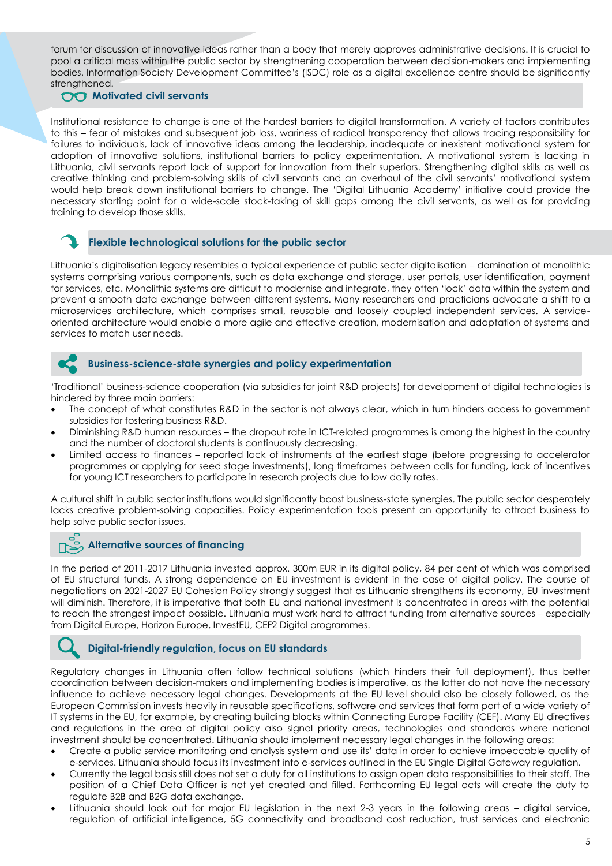forum for discussion of innovative ideas rather than a body that merely approves administrative decisions. It is crucial to pool a critical mass within the public sector by strengthening cooperation between decision-makers and implementing bodies. Information Society Development Committee's (ISDC) role as a digital excellence centre should be significantly strengthened.

### **00** Motivated civil servants

Institutional resistance to change is one of the hardest barriers to digital transformation. A variety of factors contributes to this – fear of mistakes and subsequent job loss, wariness of radical transparency that allows tracing responsibility for failures to individuals, lack of innovative ideas among the leadership, inadequate or inexistent motivational system for adoption of innovative solutions, institutional barriers to policy experimentation. A motivational system is lacking in Lithuania, civil servants report lack of support for innovation from their superiors. Strengthening digital skills as well as creative thinking and problem-solving skills of civil servants and an overhaul of the civil servants' motivational system would help break down institutional barriers to change. The 'Digital Lithuania Academy' initiative could provide the necessary starting point for a wide-scale stock-taking of skill gaps among the civil servants, as well as for providing training to develop those skills.

### **Flexible technological solutions for the public sector**

Lithuania's digitalisation legacy resembles a typical experience of public sector digitalisation – domination of monolithic systems comprising various components, such as data exchange and storage, user portals, user identification, payment for services, etc. Monolithic systems are difficult to modernise and integrate, they often 'lock' data within the system and prevent a smooth data exchange between different systems. Many researchers and practicians advocate a shift to a microservices architecture, which comprises small, reusable and loosely coupled independent services. A serviceoriented architecture would enable a more agile and effective creation, modernisation and adaptation of systems and services to match user needs.



### **Business-science-state synergies and policy experimentation**

'Traditional' business-science cooperation (via subsidies for joint R&D projects) for development of digital technologies is hindered by three main barriers:

- The concept of what constitutes R&D in the sector is not always clear, which in turn hinders access to government subsidies for fostering business R&D.
- Diminishing R&D human resources the dropout rate in ICT-related programmes is among the highest in the country and the number of doctoral students is continuously decreasing.
- Limited access to finances reported lack of instruments at the earliest stage (before progressing to accelerator programmes or applying for seed stage investments), long timeframes between calls for funding, lack of incentives for young ICT researchers to participate in research projects due to low daily rates.

A cultural shift in public sector institutions would significantly boost business-state synergies. The public sector desperately lacks creative problem-solving capacities. Policy experimentation tools present an opportunity to attract business to help solve public sector issues.

### **Alternative sources of financing**

In the period of 2011-2017 Lithuania invested approx. 300m EUR in its digital policy, 84 per cent of which was comprised of EU structural funds. A strong dependence on EU investment is evident in the case of digital policy. The course of negotiations on 2021-2027 EU Cohesion Policy strongly suggest that as Lithuania strengthens its economy, EU investment will diminish. Therefore, it is imperative that both EU and national investment is concentrated in areas with the potential to reach the strongest impact possible. Lithuania must work hard to attract funding from alternative sources – especially from Digital Europe, Horizon Europe, InvestEU, CEF2 Digital programmes.

### **Digital-friendly regulation, focus on EU standards**

Regulatory changes in Lithuania often follow technical solutions (which hinders their full deployment), thus better coordination between decision-makers and implementing bodies is imperative, as the latter do not have the necessary influence to achieve necessary legal changes. Developments at the EU level should also be closely followed, as the European Commission invests heavily in reusable specifications, software and services that form part of a wide variety of IT systems in the EU, for example, by creating building blocks within Connecting Europe Facility (CEF). Many EU directives and regulations in the area of digital policy also signal priority areas, technologies and standards where national investment should be concentrated. Lithuania should implement necessary legal changes in the following areas:

- Create a public service monitoring and analysis system and use its' data in order to achieve impeccable quality of e-services. Lithuania should focus its investment into e-services outlined in the EU Single Digital Gateway regulation.
- Currently the legal basis still does not set a duty for all institutions to assign open data responsibilities to their staff. The position of a Chief Data Officer is not yet created and filled. Forthcoming EU legal acts will create the duty to regulate B2B and B2G data exchange.
- Lithuania should look out for major EU legislation in the next 2-3 years in the following areas digital service, regulation of artificial intelligence, 5G connectivity and broadband cost reduction, trust services and electronic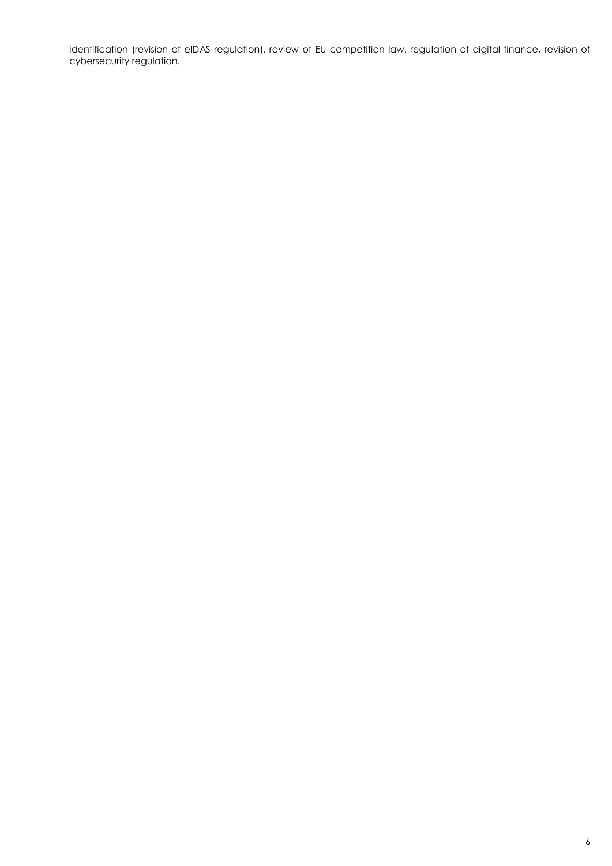identification (revision of eIDAS regulation), review of EU competition law, regulation of digital finance, revision of cybersecurity regulation.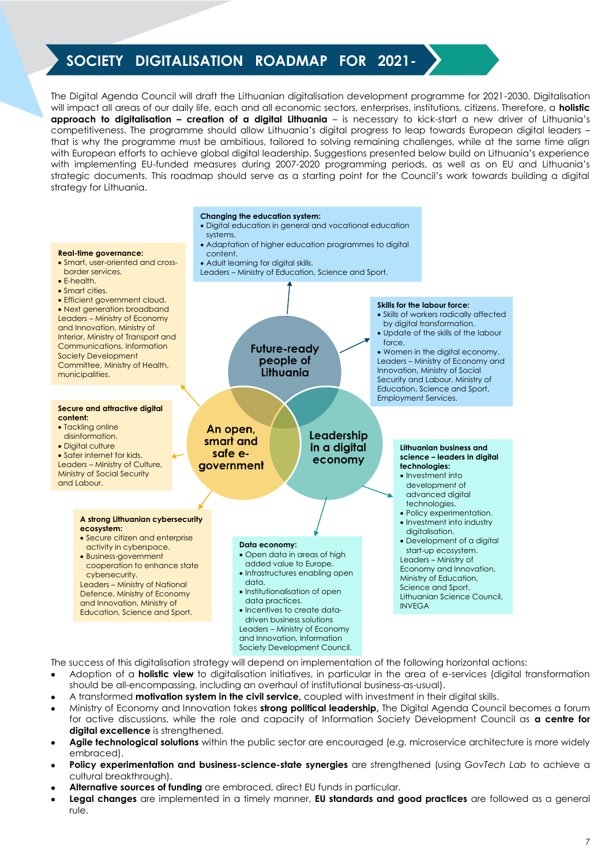# **SOCIETY DIGITALISATION ROADMAP FOR 2021-**

**2027**

The Digital Agenda Council will draft the Lithuanian digitalisation development programme for 2021-2030. Digitalisation will impact all areas of our daily life, each and all economic sectors, enterprises, institutions, citizens. Therefore, a **holistic approach to digitalisation – creation of a digital Lithuania** – is necessary to kick-start a new driver of Lithuania's competitiveness. The programme should allow Lithuania's digital progress to leap towards European digital leaders – that is why the programme must be ambitious, tailored to solving remaining challenges, while at the same time align with European efforts to achieve global digital leadership. Suggestions presented below build on Lithuania's experience with implementing EU-funded measures during 2007-2020 programming periods, as well as on EU and Lithuania's strategic documents. This roadmap should serve as a starting point for the Council's work towards building a digital strategy for Lithuania.



The success of this digitalisation strategy will depend on implementation of the following horizontal actions:

- Adoption of a **holistic view** to digitalisation initiatives, in particular in the area of e-services (digital transformation should be all-encompassing, including an overhaul of institutional business-as-usual).
- A transformed **motivation system in the civil service,** coupled with investment in their digital skills.
- Ministry of Economy and Innovation takes **strong political leadership,** The Digital Agenda Council becomes a forum for active discussions, while the role and capacity of Information Society Development Council as **a centre for**  digital excellence is strengthened.
- **Agile technological solutions** within the public sector are encouraged (e.g. microservice architecture is more widely embraced).
- **Policy experimentation and business-science-state synergies** are strengthened (using GovTech Lab to achieve a cultural breakthrough).
- **Alternative sources of funding** are embraced, direct EU funds in particular.
- **Legal changes** are implemented in a timely manner, **EU standards and good practices** are followed as a general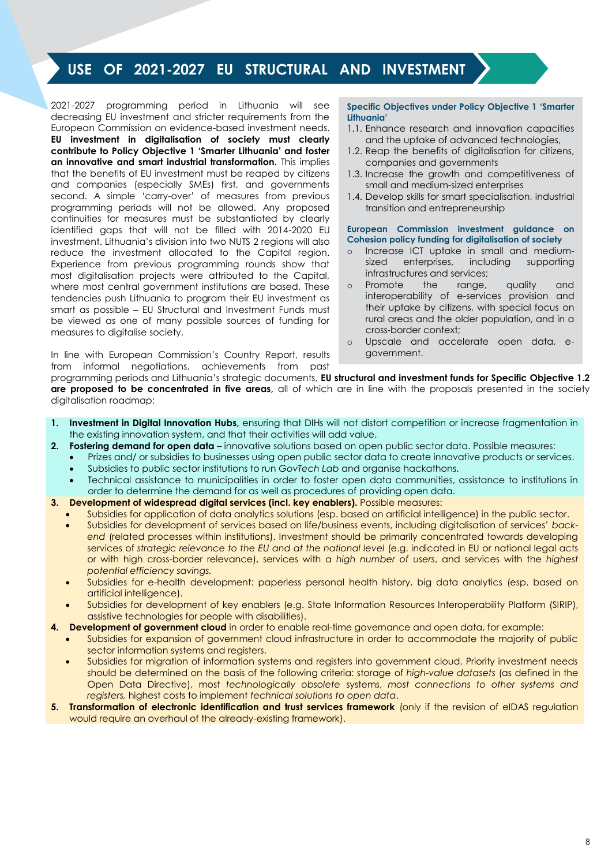# **USE OF 2021-2027 EU STRUCTURAL AND INVESTMENT**

2021-2027 programming period in Lithuania will see decreasing EU investment and stricter requirements from the European Commission on evidence-based investment needs. **EU investment in digitalisation of society must clearly contribute to Policy Objective 1 'Smarter Lithuania' and foster an innovative and smart industrial transformation.** This implies that the benefits of EU investment must be reaped by citizens and companies (especially SMEs) first, and governments second. A simple 'carry-over' of measures from previous programming periods will not be allowed. Any proposed continuities for measures must be substantiated by clearly identified gaps that will not be filled with 2014-2020 EU investment. Lithuania's division into two NUTS 2 regions will also reduce the investment allocated to the Capital region. Experience from previous programming rounds show that most digitalisation projects were attributed to the Capital, where most central government institutions are based. These tendencies push Lithuania to program their EU investment as smart as possible – EU Structural and Investment Funds must be viewed as one of many possible sources of funding for measures to digitalise society.

**FUNDS** 

In line with European Commission's Country Report, results from informal negotiations, achievements from past

**Specific Objectives under Policy Objective 1 'Smarter Lithuania'**

- 1.1. Enhance research and innovation capacities and the uptake of advanced technologies,
- 1.2. Reap the benefits of digitalisation for citizens, companies and governments
- 1.3. Increase the growth and competitiveness of small and medium-sized enterprises
- 1.4. Develop skills for smart specialisation, industrial transition and entrepreneurship

#### **European Commission investment guidance on Cohesion policy funding for digitalisation of society**

- o Increase ICT uptake in small and mediumsized enterprises, including supporting infrastructures and services;
- o Promote the range, quality and interoperability of e-services provision and their uptake by citizens, with special focus on rural areas and the older population, and in a cross-border context;
- o Upscale and accelerate open data, egovernment.

programming periods and Lithuania's strategic documents, **EU structural and investment funds for Specific Objective 1.2 are proposed to be concentrated in five areas,** all of which are in line with the proposals presented in the society digitalisation roadmap:

- **1. Investment in Digital Innovation Hubs,** ensuring that DIHs will not distort competition or increase fragmentation in the existing innovation system, and that their activities will add value.
- **2. Fostering demand for open data**  innovative solutions based on open public sector data. Possible measures:
	- Prizes and/ or subsidies to businesses using open public sector data to create innovative products or services. Subsidies to public sector institutions to run *GovTech Lab* and organise hackathons.
	- Technical assistance to municipalities in order to foster open data communities, assistance to institutions in order to determine the demand for as well as procedures of providing open data.
- **3. Development of widespread digital services (incl. key enablers).** Possible measures:
	- Subsidies for application of data analytics solutions (esp. based on artificial intelligence) in the public sector.
		- Subsidies for development of services based on life/business events, including digitalisation of services' *backend* (related processes within institutions). Investment should be primarily concentrated towards developing services of *strategic relevance to the EU and at the national level* (e.g. indicated in EU or national legal acts or with high cross-border relevance), services with a *high number of users*, and services with the *highest potential efficiency savings.*
		- Subsidies for e-health development: paperless personal health history, big data analytics (esp. based on artificial intelligence).
	- Subsidies for development of key enablers (e.g. State Information Resources Interoperability Platform (SIRIP), assistive technologies for people with disabilities).
	- **4. Development of government cloud** in order to enable real-time governance and open data, for example:
	- Subsidies for expansion of government cloud infrastructure in order to accommodate the majority of public sector information systems and registers.
	- Subsidies for migration of information systems and registers into government cloud. Priority investment needs should be determined on the basis of the following criteria: storage of *high-value datasets* (as defined in the Open Data Directive), most *technologically obsolete* systems, *most connections to other systems and registers,* highest costs to implement *technical solutions to open data*.
- **5. Transformation of electronic identification and trust services framework** (only if the revision of eIDAS regulation would require an overhaul of the already-existing framework).